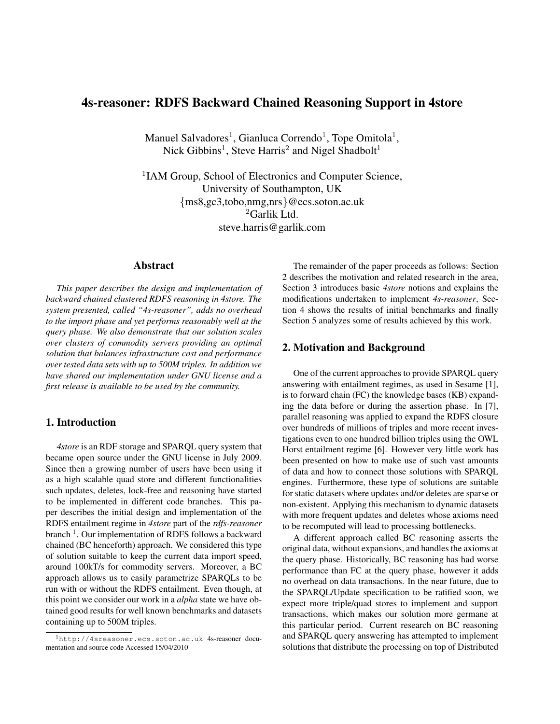# 4s-reasoner: RDFS Backward Chained Reasoning Support in 4store

Manuel Salvadores<sup>1</sup>, Gianluca Correndo<sup>1</sup>, Tope Omitola<sup>1</sup>, Nick Gibbins<sup>1</sup>, Steve Harris<sup>2</sup> and Nigel Shadbolt<sup>1</sup>

<sup>1</sup>IAM Group, School of Electronics and Computer Science, University of Southampton, UK {ms8,gc3,tobo,nmg,nrs}@ecs.soton.ac.uk <sup>2</sup>Garlik Ltd. steve.harris@garlik.com

# Abstract

*This paper describes the design and implementation of backward chained clustered RDFS reasoning in 4store. The system presented, called "4s-reasoner", adds no overhead to the import phase and yet performs reasonably well at the query phase. We also demonstrate that our solution scales over clusters of commodity servers providing an optimal solution that balances infrastructure cost and performance over tested data sets with up to 500M triples. In addition we have shared our implementation under GNU license and a first release is available to be used by the community.*

## 1. Introduction

*4store* is an RDF storage and SPARQL query system that became open source under the GNU license in July 2009. Since then a growing number of users have been using it as a high scalable quad store and different functionalities such updates, deletes, lock-free and reasoning have started to be implemented in different code branches. This paper describes the initial design and implementation of the RDFS entailment regime in *4store* part of the *rdfs-reasoner* branch<sup>1</sup>. Our implementation of RDFS follows a backward chained (BC henceforth) approach. We considered this type of solution suitable to keep the current data import speed, around 100kT/s for commodity servers. Moreover, a BC approach allows us to easily parametrize SPARQLs to be run with or without the RDFS entailment. Even though, at this point we consider our work in a *alpha* state we have obtained good results for well known benchmarks and datasets containing up to 500M triples.

The remainder of the paper proceeds as follows: Section 2 describes the motivation and related research in the area, Section 3 introduces basic *4store* notions and explains the modifications undertaken to implement *4s-reasoner*, Section 4 shows the results of initial benchmarks and finally Section 5 analyzes some of results achieved by this work.

### 2. Motivation and Background

One of the current approaches to provide SPARQL query answering with entailment regimes, as used in Sesame [1], is to forward chain (FC) the knowledge bases (KB) expanding the data before or during the assertion phase. In [7], parallel reasoning was applied to expand the RDFS closure over hundreds of millions of triples and more recent investigations even to one hundred billion triples using the OWL Horst entailment regime [6]. However very little work has been presented on how to make use of such vast amounts of data and how to connect those solutions with SPARQL engines. Furthermore, these type of solutions are suitable for static datasets where updates and/or deletes are sparse or non-existent. Applying this mechanism to dynamic datasets with more frequent updates and deletes whose axioms need to be recomputed will lead to processing bottlenecks.

A different approach called BC reasoning asserts the original data, without expansions, and handles the axioms at the query phase. Historically, BC reasoning has had worse performance than FC at the query phase, however it adds no overhead on data transactions. In the near future, due to the SPARQL/Update specification to be ratified soon, we expect more triple/quad stores to implement and support transactions, which makes our solution more germane at this particular period. Current research on BC reasoning and SPARQL query answering has attempted to implement solutions that distribute the processing on top of Distributed

<sup>1</sup>http://4sreasoner.ecs.soton.ac.uk 4s-reasoner documentation and source code Accessed 15/04/2010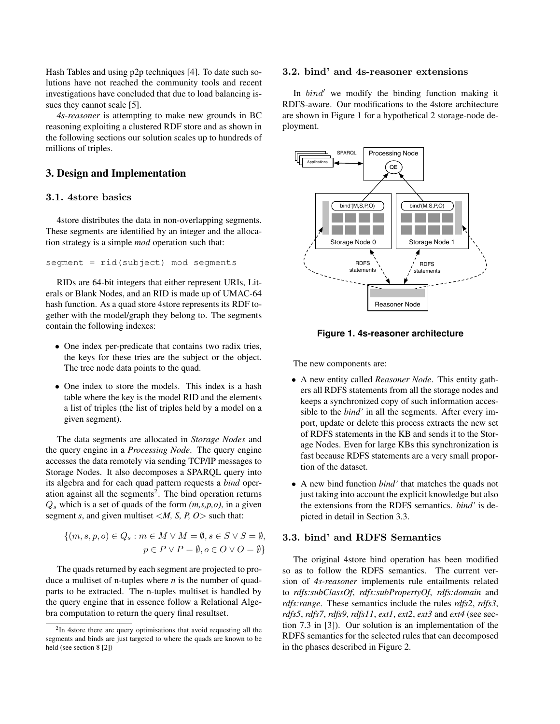Hash Tables and using p2p techniques [4]. To date such solutions have not reached the community tools and recent investigations have concluded that due to load balancing issues they cannot scale [5].

*4s-reasoner* is attempting to make new grounds in BC reasoning exploiting a clustered RDF store and as shown in the following sections our solution scales up to hundreds of millions of triples.

# 3. Design and Implementation

#### 3.1. 4store basics

4store distributes the data in non-overlapping segments. These segments are identified by an integer and the allocation strategy is a simple *mod* operation such that:

segment = rid(subject) mod segments

RIDs are 64-bit integers that either represent URIs, Literals or Blank Nodes, and an RID is made up of UMAC-64 hash function. As a quad store 4store represents its RDF together with the model/graph they belong to. The segments contain the following indexes:

- One index per-predicate that contains two radix tries, the keys for these tries are the subject or the object. The tree node data points to the quad.
- One index to store the models. This index is a hash table where the key is the model RID and the elements a list of triples (the list of triples held by a model on a given segment).

The data segments are allocated in *Storage Nodes* and the query engine in a *Processing Node*. The query engine accesses the data remotely via sending TCP/IP messages to Storage Nodes. It also decomposes a SPARQL query into its algebra and for each quad pattern requests a *bind* operation against all the segments<sup>2</sup>. The bind operation returns  $Q_s$  which is a set of quads of the form  $(m, s, p, o)$ , in a given segment *s*, and given multiset <*M, S, P, O*> such that:

$$
\{(m, s, p, o) \in Q_s : m \in M \lor M = \emptyset, s \in S \lor S = \emptyset, p \in P \lor P = \emptyset, o \in O \lor O = \emptyset\}
$$

The quads returned by each segment are projected to produce a multiset of n-tuples where *n* is the number of quadparts to be extracted. The n-tuples multiset is handled by the query engine that in essence follow a Relational Algebra computation to return the query final resultset.

### 3.2. bind' and 4s-reasoner extensions

In  $bind'$  we modify the binding function making it RDFS-aware. Our modifications to the 4store architecture are shown in Figure 1 for a hypothetical 2 storage-node deployment.



**Figure 1. 4s-reasoner architecture**

The new components are:

- A new entity called *Reasoner Node*. This entity gathers all RDFS statements from all the storage nodes and keeps a synchronized copy of such information accessible to the *bind'* in all the segments. After every import, update or delete this process extracts the new set of RDFS statements in the KB and sends it to the Storage Nodes. Even for large KBs this synchronization is fast because RDFS statements are a very small proportion of the dataset.
- A new bind function *bind'* that matches the quads not just taking into account the explicit knowledge but also the extensions from the RDFS semantics. *bind'* is depicted in detail in Section 3.3.

### 3.3. bind' and RDFS Semantics

The original 4store bind operation has been modified so as to follow the RDFS semantics. The current version of *4s-reasoner* implements rule entailments related to *rdfs:subClassOf*, *rdfs:subPropertyOf*, *rdfs:domain* and *rdfs:range*. These semantics include the rules *rdfs2*, *rdfs3*, *rdfs5*, *rdfs7*, *rdfs9*, *rdfs11*, *ext1*, *ext2*, *ext3* and *ext4* (see section 7.3 in [3]). Our solution is an implementation of the RDFS semantics for the selected rules that can decomposed in the phases described in Figure 2.

 $2$ In 4store there are query optimisations that avoid requesting all the segments and binds are just targeted to where the quads are known to be held (see section 8 [2])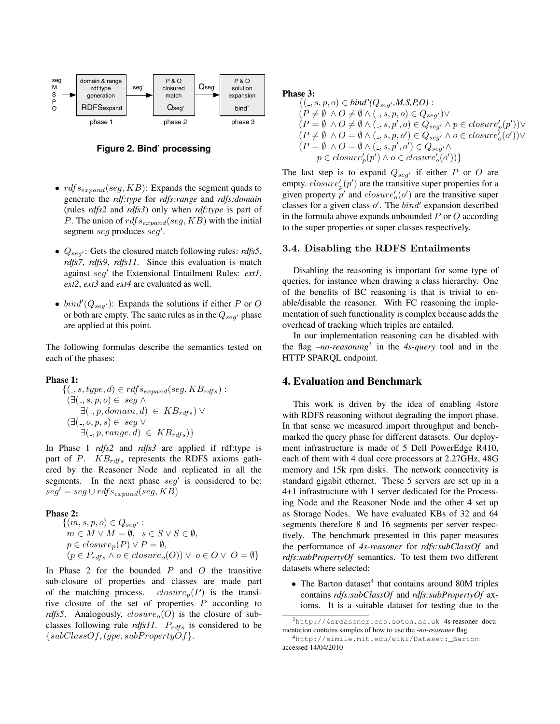

**Figure 2. Bind' processing**

- $\textit{rdf}\textit{s}_{\textit{expand}}(\textit{seg}, \textit{KB})$ : Expands the segment quads to generate the *rdf:type* for *rdfs:range* and *rdfs:domain* (rules *rdfs2* and *rdfs3*) only when *rdf:type* is part of P. The union of  $\text{rdf}s_{expand}(seg,KB)$  with the initial segment seg produces seg'.
- $Q_{seg'}$ : Gets the closured match following rules: *rdfs5*, *rdfs7*, *rdfs9*, *rdfs11*. Since this evaluation is match against seg<sup>'</sup> the Extensional Entailment Rules: ext1, *ext2*, *ext3* and *ext4* are evaluated as well.
- $bind'(Q_{seg'})$ : Expands the solutions if either P or O or both are empty. The same rules as in the  $Q_{seq'}$  phase are applied at this point.

The following formulas describe the semantics tested on each of the phases:

#### Phase 1:

$$
\{(\_,s,type,d) \in rdf s_{expand}(seg, KB_{rdfs}) : (\exists(.,s,p,o) \in seg \land \exists(.,p, domain,d) \in KB_{rdfs}) \lor (\exists(.,p,ens) \in seg \lor \exists(.,p, range,d) \in KB_{rdfs})\}
$$

In Phase 1 *rdfs2* and *rdfs3* are applied if rdf:type is part of  $P$ .  $KB_{rdfs}$  represents the RDFS axioms gathered by the Reasoner Node and replicated in all the segments. In the next phase  $seg'$  is considered to be:  $seg' = seg \cup rdfs_{expand}(seg, KB)$ 

#### Phase 2:

$$
\{(m, s, p, o) \in Q_{seg'} : \nm \in M \vee M = \emptyset, s \in S \vee S \in \emptyset, \np \in closure_p(P) \vee P = \emptyset, \n(p \in P_{rdfs} \wedge o \in closure_o(O)) \vee o \in O \vee O = \emptyset \}
$$

In Phase 2 for the bounded  $P$  and  $O$  the transitive sub-closure of properties and classes are made part of the matching process.  $closure_n(P)$  is the transitive closure of the set of properties  $P$  according to *rdfs5*. Analogously,  $closure_0(O)$  is the closure of subclasses following rule *rdfs11*.  $P_{rdfs}$  is considered to be  $\{subClassOf, type, subPropertyOf\}.$ 

Phase 3:

$$
\begin{aligned} &\{(.,s,p,o)\in \mathit{bind}'(Q_{seg'},\mathit{M},\mathit{S},\mathit{P},\mathit{O}) : \\ & (P\neq\emptyset \ \land \mathit{O}\neq\emptyset \land (.,s,p,o)\in Q_{seg'}) \lor \\ & (P=\emptyset \ \land \mathit{O}\neq\emptyset \land (.,s,p',o)\in Q_{seg'} \land p\in \mathit{closure}'_p(p')) \lor \\ & (P\neq\emptyset \ \land \mathit{O}=\emptyset \land (.,s,p,o')\in Q_{seg'} \land o\in \mathit{closure}'_o(o')) \lor \\ & (P=\emptyset \ \land \mathit{O}=\emptyset \land (.,s,p',o')\in Q_{seg'} \land \\ & p\in \mathit{closure}'_p(p') \land o\in \mathit{closure}'_o(o')) \} \end{aligned}
$$

The last step is to expand  $Q_{seg'}$  if either P or O are empty.  $closure_p'(p')$  are the transitive super properties for a given property  $p'$  and  $closure'_{o}(o')$  are the transitive super classes for a given class  $o'$ . The  $bind'$  expansion described in the formula above expands unbounded  $P$  or  $O$  according to the super properties or super classes respectively.

#### 3.4. Disabling the RDFS Entailments

Disabling the reasoning is important for some type of queries, for instance when drawing a class hierarchy. One of the benefits of BC reasoning is that is trivial to enable/disable the reasoner. With FC reasoning the implementation of such functionality is complex because adds the overhead of tracking which triples are entailed.

In our implementation reasoning can be disabled with the flag *–no-reasoning*<sup>3</sup> in the *4s-query* tool and in the HTTP SPARQL endpoint.

### 4. Evaluation and Benchmark

This work is driven by the idea of enabling 4store with RDFS reasoning without degrading the import phase. In that sense we measured import throughput and benchmarked the query phase for different datasets. Our deployment infrastructure is made of 5 Dell PowerEdge R410, each of them with 4 dual core processors at 2.27GHz, 48G memory and 15k rpm disks. The network connectivity is standard gigabit ethernet. These 5 servers are set up in a 4+1 infrastructure with 1 server dedicated for the Processing Node and the Reasoner Node and the other 4 set up as Storage Nodes. We have evaluated KBs of 32 and 64 segments therefore 8 and 16 segments per server respectively. The benchmark presented in this paper measures the performance of *4s-reasoner* for *rdfs:subClassOf* and *rdfs:subPropertyOf* semantics. To test them two different datasets where selected:

 $\bullet$  The Barton dataset<sup>4</sup> that contains around 80M triples contains *rdfs:subClassOf* and *rdfs:subPropertyOf* axioms. It is a suitable dataset for testing due to the

<sup>3</sup>http://4sreasoner.ecs.soton.ac.uk 4s-reasoner documentation contains samples of how to use the *-no-reasoner* flag.

<sup>4</sup>http://simile.mit.edu/wiki/Dataset:\_Barton accessed 14/04/2010